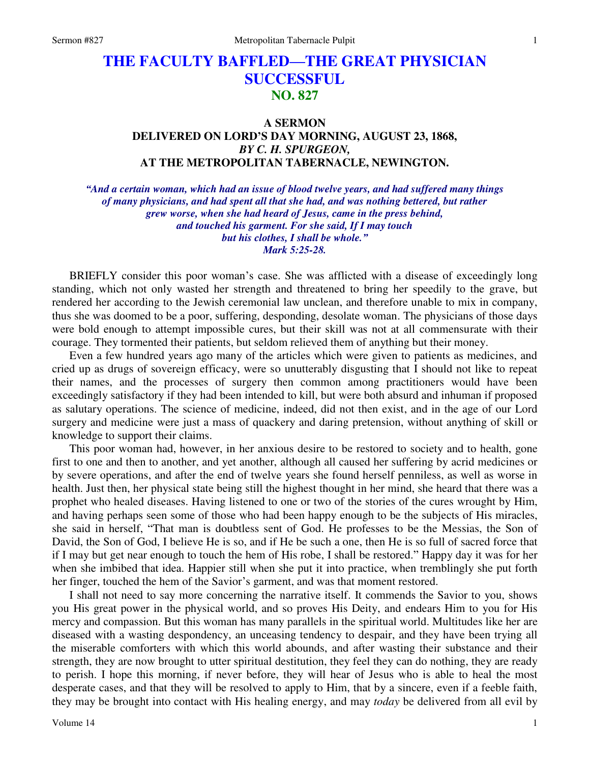# **THE FACULTY BAFFLED—THE GREAT PHYSICIAN SUCCESSFUL NO. 827**

# **A SERMON DELIVERED ON LORD'S DAY MORNING, AUGUST 23, 1868,**  *BY C. H. SPURGEON,*  **AT THE METROPOLITAN TABERNACLE, NEWINGTON.**

*"And a certain woman, which had an issue of blood twelve years, and had suffered many things of many physicians, and had spent all that she had, and was nothing bettered, but rather grew worse, when she had heard of Jesus, came in the press behind, and touched his garment. For she said, If I may touch but his clothes, I shall be whole." Mark 5:25-28.* 

BRIEFLY consider this poor woman's case. She was afflicted with a disease of exceedingly long standing, which not only wasted her strength and threatened to bring her speedily to the grave, but rendered her according to the Jewish ceremonial law unclean, and therefore unable to mix in company, thus she was doomed to be a poor, suffering, desponding, desolate woman. The physicians of those days were bold enough to attempt impossible cures, but their skill was not at all commensurate with their courage. They tormented their patients, but seldom relieved them of anything but their money.

 Even a few hundred years ago many of the articles which were given to patients as medicines, and cried up as drugs of sovereign efficacy, were so unutterably disgusting that I should not like to repeat their names, and the processes of surgery then common among practitioners would have been exceedingly satisfactory if they had been intended to kill, but were both absurd and inhuman if proposed as salutary operations. The science of medicine, indeed, did not then exist, and in the age of our Lord surgery and medicine were just a mass of quackery and daring pretension, without anything of skill or knowledge to support their claims.

 This poor woman had, however, in her anxious desire to be restored to society and to health, gone first to one and then to another, and yet another, although all caused her suffering by acrid medicines or by severe operations, and after the end of twelve years she found herself penniless, as well as worse in health. Just then, her physical state being still the highest thought in her mind, she heard that there was a prophet who healed diseases. Having listened to one or two of the stories of the cures wrought by Him, and having perhaps seen some of those who had been happy enough to be the subjects of His miracles, she said in herself, "That man is doubtless sent of God. He professes to be the Messias, the Son of David, the Son of God, I believe He is so, and if He be such a one, then He is so full of sacred force that if I may but get near enough to touch the hem of His robe, I shall be restored." Happy day it was for her when she imbibed that idea. Happier still when she put it into practice, when tremblingly she put forth her finger, touched the hem of the Savior's garment, and was that moment restored.

 I shall not need to say more concerning the narrative itself. It commends the Savior to you, shows you His great power in the physical world, and so proves His Deity, and endears Him to you for His mercy and compassion. But this woman has many parallels in the spiritual world. Multitudes like her are diseased with a wasting despondency, an unceasing tendency to despair, and they have been trying all the miserable comforters with which this world abounds, and after wasting their substance and their strength, they are now brought to utter spiritual destitution, they feel they can do nothing, they are ready to perish. I hope this morning, if never before, they will hear of Jesus who is able to heal the most desperate cases, and that they will be resolved to apply to Him, that by a sincere, even if a feeble faith, they may be brought into contact with His healing energy, and may *today* be delivered from all evil by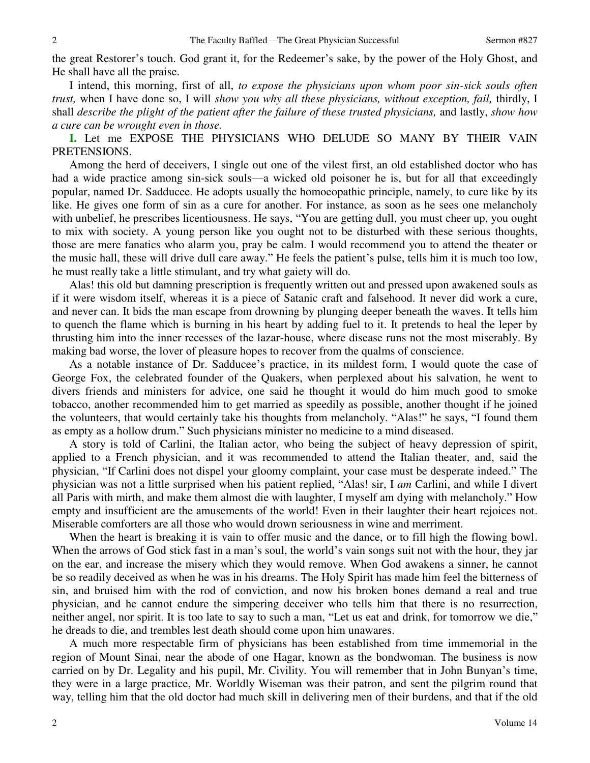the great Restorer's touch. God grant it, for the Redeemer's sake, by the power of the Holy Ghost, and He shall have all the praise.

 I intend, this morning, first of all, *to expose the physicians upon whom poor sin-sick souls often trust,* when I have done so, I will *show you why all these physicians, without exception, fail,* thirdly, I shall *describe the plight of the patient after the failure of these trusted physicians,* and lastly, *show how a cure can be wrought even in those.*

**I.** Let me EXPOSE THE PHYSICIANS WHO DELUDE SO MANY BY THEIR VAIN PRETENSIONS.

 Among the herd of deceivers, I single out one of the vilest first, an old established doctor who has had a wide practice among sin-sick souls—a wicked old poisoner he is, but for all that exceedingly popular, named Dr. Sadducee. He adopts usually the homoeopathic principle, namely, to cure like by its like. He gives one form of sin as a cure for another. For instance, as soon as he sees one melancholy with unbelief, he prescribes licentiousness. He says, "You are getting dull, you must cheer up, you ought to mix with society. A young person like you ought not to be disturbed with these serious thoughts, those are mere fanatics who alarm you, pray be calm. I would recommend you to attend the theater or the music hall, these will drive dull care away." He feels the patient's pulse, tells him it is much too low, he must really take a little stimulant, and try what gaiety will do.

 Alas! this old but damning prescription is frequently written out and pressed upon awakened souls as if it were wisdom itself, whereas it is a piece of Satanic craft and falsehood. It never did work a cure, and never can. It bids the man escape from drowning by plunging deeper beneath the waves. It tells him to quench the flame which is burning in his heart by adding fuel to it. It pretends to heal the leper by thrusting him into the inner recesses of the lazar-house, where disease runs not the most miserably. By making bad worse, the lover of pleasure hopes to recover from the qualms of conscience.

 As a notable instance of Dr. Sadducee's practice, in its mildest form, I would quote the case of George Fox, the celebrated founder of the Quakers, when perplexed about his salvation, he went to divers friends and ministers for advice, one said he thought it would do him much good to smoke tobacco, another recommended him to get married as speedily as possible, another thought if he joined the volunteers, that would certainly take his thoughts from melancholy. "Alas!" he says, "I found them as empty as a hollow drum." Such physicians minister no medicine to a mind diseased.

 A story is told of Carlini, the Italian actor, who being the subject of heavy depression of spirit, applied to a French physician, and it was recommended to attend the Italian theater, and, said the physician, "If Carlini does not dispel your gloomy complaint, your case must be desperate indeed." The physician was not a little surprised when his patient replied, "Alas! sir, I *am* Carlini, and while I divert all Paris with mirth, and make them almost die with laughter, I myself am dying with melancholy." How empty and insufficient are the amusements of the world! Even in their laughter their heart rejoices not. Miserable comforters are all those who would drown seriousness in wine and merriment.

When the heart is breaking it is vain to offer music and the dance, or to fill high the flowing bowl. When the arrows of God stick fast in a man's soul, the world's vain songs suit not with the hour, they jar on the ear, and increase the misery which they would remove. When God awakens a sinner, he cannot be so readily deceived as when he was in his dreams. The Holy Spirit has made him feel the bitterness of sin, and bruised him with the rod of conviction, and now his broken bones demand a real and true physician, and he cannot endure the simpering deceiver who tells him that there is no resurrection, neither angel, nor spirit. It is too late to say to such a man, "Let us eat and drink, for tomorrow we die," he dreads to die, and trembles lest death should come upon him unawares.

 A much more respectable firm of physicians has been established from time immemorial in the region of Mount Sinai, near the abode of one Hagar, known as the bondwoman. The business is now carried on by Dr. Legality and his pupil, Mr. Civility. You will remember that in John Bunyan's time, they were in a large practice, Mr. Worldly Wiseman was their patron, and sent the pilgrim round that way, telling him that the old doctor had much skill in delivering men of their burdens, and that if the old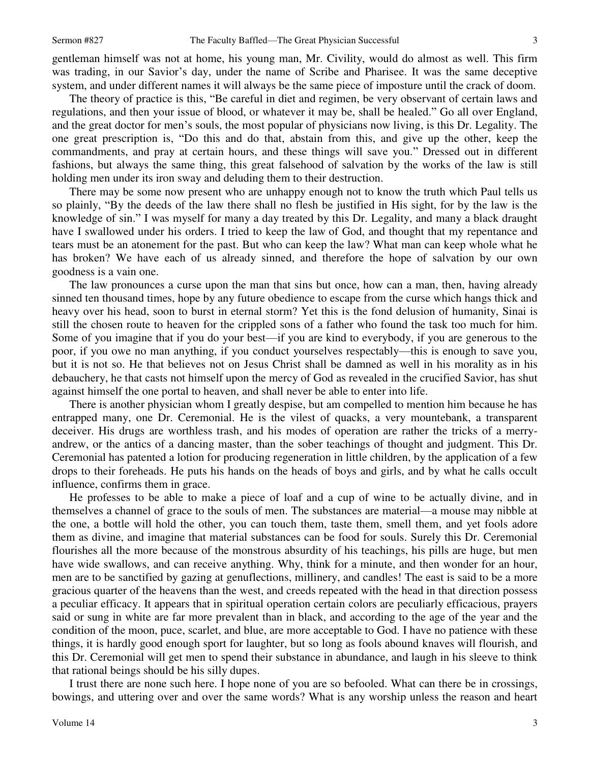gentleman himself was not at home, his young man, Mr. Civility, would do almost as well. This firm was trading, in our Savior's day, under the name of Scribe and Pharisee. It was the same deceptive system, and under different names it will always be the same piece of imposture until the crack of doom.

 The theory of practice is this, "Be careful in diet and regimen, be very observant of certain laws and regulations, and then your issue of blood, or whatever it may be, shall be healed." Go all over England, and the great doctor for men's souls, the most popular of physicians now living, is this Dr. Legality. The one great prescription is, "Do this and do that, abstain from this, and give up the other, keep the commandments, and pray at certain hours, and these things will save you." Dressed out in different fashions, but always the same thing, this great falsehood of salvation by the works of the law is still holding men under its iron sway and deluding them to their destruction.

 There may be some now present who are unhappy enough not to know the truth which Paul tells us so plainly, "By the deeds of the law there shall no flesh be justified in His sight, for by the law is the knowledge of sin." I was myself for many a day treated by this Dr. Legality, and many a black draught have I swallowed under his orders. I tried to keep the law of God, and thought that my repentance and tears must be an atonement for the past. But who can keep the law? What man can keep whole what he has broken? We have each of us already sinned, and therefore the hope of salvation by our own goodness is a vain one.

 The law pronounces a curse upon the man that sins but once, how can a man, then, having already sinned ten thousand times, hope by any future obedience to escape from the curse which hangs thick and heavy over his head, soon to burst in eternal storm? Yet this is the fond delusion of humanity, Sinai is still the chosen route to heaven for the crippled sons of a father who found the task too much for him. Some of you imagine that if you do your best—if you are kind to everybody, if you are generous to the poor, if you owe no man anything, if you conduct yourselves respectably—this is enough to save you, but it is not so. He that believes not on Jesus Christ shall be damned as well in his morality as in his debauchery, he that casts not himself upon the mercy of God as revealed in the crucified Savior, has shut against himself the one portal to heaven, and shall never be able to enter into life.

 There is another physician whom I greatly despise, but am compelled to mention him because he has entrapped many, one Dr. Ceremonial. He is the vilest of quacks, a very mountebank, a transparent deceiver. His drugs are worthless trash, and his modes of operation are rather the tricks of a merryandrew, or the antics of a dancing master, than the sober teachings of thought and judgment. This Dr. Ceremonial has patented a lotion for producing regeneration in little children, by the application of a few drops to their foreheads. He puts his hands on the heads of boys and girls, and by what he calls occult influence, confirms them in grace.

 He professes to be able to make a piece of loaf and a cup of wine to be actually divine, and in themselves a channel of grace to the souls of men. The substances are material—a mouse may nibble at the one, a bottle will hold the other, you can touch them, taste them, smell them, and yet fools adore them as divine, and imagine that material substances can be food for souls. Surely this Dr. Ceremonial flourishes all the more because of the monstrous absurdity of his teachings, his pills are huge, but men have wide swallows, and can receive anything. Why, think for a minute, and then wonder for an hour, men are to be sanctified by gazing at genuflections, millinery, and candles! The east is said to be a more gracious quarter of the heavens than the west, and creeds repeated with the head in that direction possess a peculiar efficacy. It appears that in spiritual operation certain colors are peculiarly efficacious, prayers said or sung in white are far more prevalent than in black, and according to the age of the year and the condition of the moon, puce, scarlet, and blue, are more acceptable to God. I have no patience with these things, it is hardly good enough sport for laughter, but so long as fools abound knaves will flourish, and this Dr. Ceremonial will get men to spend their substance in abundance, and laugh in his sleeve to think that rational beings should be his silly dupes.

 I trust there are none such here. I hope none of you are so befooled. What can there be in crossings, bowings, and uttering over and over the same words? What is any worship unless the reason and heart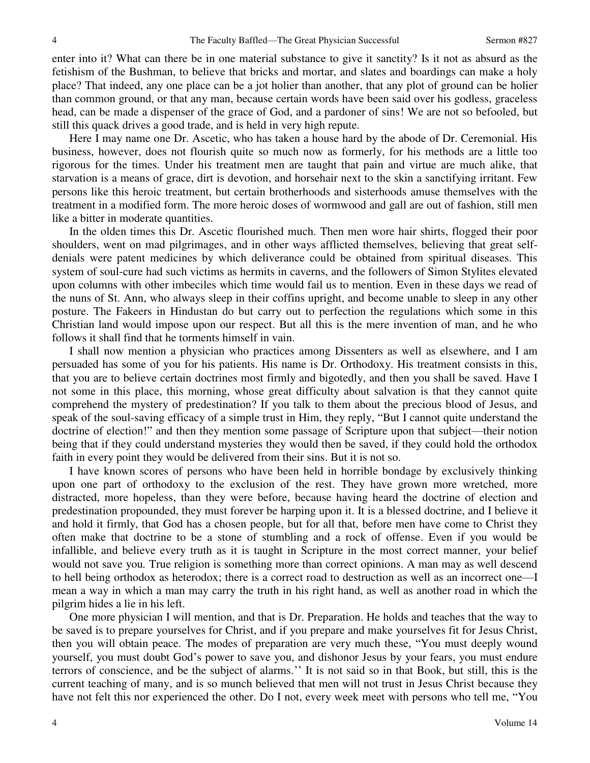enter into it? What can there be in one material substance to give it sanctity? Is it not as absurd as the fetishism of the Bushman, to believe that bricks and mortar, and slates and boardings can make a holy place? That indeed, any one place can be a jot holier than another, that any plot of ground can be holier than common ground, or that any man, because certain words have been said over his godless, graceless head, can be made a dispenser of the grace of God, and a pardoner of sins! We are not so befooled, but still this quack drives a good trade, and is held in very high repute.

 Here I may name one Dr. Ascetic, who has taken a house hard by the abode of Dr. Ceremonial. His business, however, does not flourish quite so much now as formerly, for his methods are a little too rigorous for the times. Under his treatment men are taught that pain and virtue are much alike, that starvation is a means of grace, dirt is devotion, and horsehair next to the skin a sanctifying irritant. Few persons like this heroic treatment, but certain brotherhoods and sisterhoods amuse themselves with the treatment in a modified form. The more heroic doses of wormwood and gall are out of fashion, still men like a bitter in moderate quantities.

 In the olden times this Dr. Ascetic flourished much. Then men wore hair shirts, flogged their poor shoulders, went on mad pilgrimages, and in other ways afflicted themselves, believing that great selfdenials were patent medicines by which deliverance could be obtained from spiritual diseases. This system of soul-cure had such victims as hermits in caverns, and the followers of Simon Stylites elevated upon columns with other imbeciles which time would fail us to mention. Even in these days we read of the nuns of St. Ann, who always sleep in their coffins upright, and become unable to sleep in any other posture. The Fakeers in Hindustan do but carry out to perfection the regulations which some in this Christian land would impose upon our respect. But all this is the mere invention of man, and he who follows it shall find that he torments himself in vain.

 I shall now mention a physician who practices among Dissenters as well as elsewhere, and I am persuaded has some of you for his patients. His name is Dr. Orthodoxy. His treatment consists in this, that you are to believe certain doctrines most firmly and bigotedly, and then you shall be saved. Have I not some in this place, this morning, whose great difficulty about salvation is that they cannot quite comprehend the mystery of predestination? If you talk to them about the precious blood of Jesus, and speak of the soul-saving efficacy of a simple trust in Him, they reply, "But I cannot quite understand the doctrine of election!" and then they mention some passage of Scripture upon that subject—their notion being that if they could understand mysteries they would then be saved, if they could hold the orthodox faith in every point they would be delivered from their sins. But it is not so.

 I have known scores of persons who have been held in horrible bondage by exclusively thinking upon one part of orthodoxy to the exclusion of the rest. They have grown more wretched, more distracted, more hopeless, than they were before, because having heard the doctrine of election and predestination propounded, they must forever be harping upon it. It is a blessed doctrine, and I believe it and hold it firmly, that God has a chosen people, but for all that, before men have come to Christ they often make that doctrine to be a stone of stumbling and a rock of offense. Even if you would be infallible, and believe every truth as it is taught in Scripture in the most correct manner, your belief would not save you*.* True religion is something more than correct opinions. A man may as well descend to hell being orthodox as heterodox; there is a correct road to destruction as well as an incorrect one—I mean a way in which a man may carry the truth in his right hand, as well as another road in which the pilgrim hides a lie in his left.

 One more physician I will mention, and that is Dr. Preparation. He holds and teaches that the way to be saved is to prepare yourselves for Christ, and if you prepare and make yourselves fit for Jesus Christ, then you will obtain peace. The modes of preparation are very much these, "You must deeply wound yourself, you must doubt God's power to save you, and dishonor Jesus by your fears, you must endure terrors of conscience, and be the subject of alarms.'' It is not said so in that Book, but still, this is the current teaching of many, and is so munch believed that men will not trust in Jesus Christ because they have not felt this nor experienced the other. Do I not, every week meet with persons who tell me, "You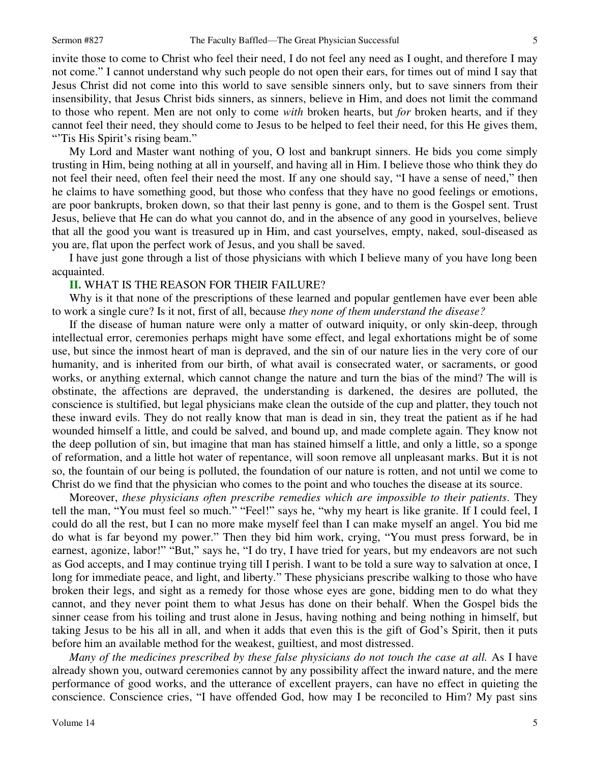invite those to come to Christ who feel their need, I do not feel any need as I ought, and therefore I may not come." I cannot understand why such people do not open their ears, for times out of mind I say that Jesus Christ did not come into this world to save sensible sinners only, but to save sinners from their insensibility, that Jesus Christ bids sinners, as sinners, believe in Him, and does not limit the command to those who repent. Men are not only to come *with* broken hearts, but *for* broken hearts, and if they cannot feel their need, they should come to Jesus to be helped to feel their need, for this He gives them, "Tis His Spirit's rising beam."

 My Lord and Master want nothing of you, O lost and bankrupt sinners. He bids you come simply trusting in Him, being nothing at all in yourself, and having all in Him. I believe those who think they do not feel their need, often feel their need the most. If any one should say, "I have a sense of need," then he claims to have something good, but those who confess that they have no good feelings or emotions, are poor bankrupts, broken down, so that their last penny is gone, and to them is the Gospel sent. Trust Jesus, believe that He can do what you cannot do, and in the absence of any good in yourselves, believe that all the good you want is treasured up in Him, and cast yourselves, empty, naked, soul-diseased as you are, flat upon the perfect work of Jesus, and you shall be saved.

 I have just gone through a list of those physicians with which I believe many of you have long been acquainted.

#### **II.** WHAT IS THE REASON FOR THEIR FAILURE?

 Why is it that none of the prescriptions of these learned and popular gentlemen have ever been able to work a single cure? Is it not, first of all, because *they none of them understand the disease?*

 If the disease of human nature were only a matter of outward iniquity, or only skin-deep, through intellectual error, ceremonies perhaps might have some effect, and legal exhortations might be of some use, but since the inmost heart of man is depraved, and the sin of our nature lies in the very core of our humanity, and is inherited from our birth, of what avail is consecrated water, or sacraments, or good works, or anything external, which cannot change the nature and turn the bias of the mind? The will is obstinate, the affections are depraved, the understanding is darkened, the desires are polluted, the conscience is stultified, but legal physicians make clean the outside of the cup and platter, they touch not these inward evils. They do not really know that man is dead in sin, they treat the patient as if he had wounded himself a little, and could be salved, and bound up, and made complete again. They know not the deep pollution of sin, but imagine that man has stained himself a little, and only a little, so a sponge of reformation, and a little hot water of repentance, will soon remove all unpleasant marks. But it is not so, the fountain of our being is polluted, the foundation of our nature is rotten, and not until we come to Christ do we find that the physician who comes to the point and who touches the disease at its source.

 Moreover, *these physicians often prescribe remedies which are impossible to their patients*. They tell the man, "You must feel so much." "Feel!" says he, "why my heart is like granite. If I could feel, I could do all the rest, but I can no more make myself feel than I can make myself an angel. You bid me do what is far beyond my power." Then they bid him work, crying, "You must press forward, be in earnest, agonize, labor!" "But," says he, "I do try, I have tried for years, but my endeavors are not such as God accepts, and I may continue trying till I perish. I want to be told a sure way to salvation at once, I long for immediate peace, and light, and liberty." These physicians prescribe walking to those who have broken their legs, and sight as a remedy for those whose eyes are gone, bidding men to do what they cannot, and they never point them to what Jesus has done on their behalf. When the Gospel bids the sinner cease from his toiling and trust alone in Jesus, having nothing and being nothing in himself, but taking Jesus to be his all in all, and when it adds that even this is the gift of God's Spirit, then it puts before him an available method for the weakest, guiltiest, and most distressed.

*Many of the medicines prescribed by these false physicians do not touch the case at all.* As I have already shown you, outward ceremonies cannot by any possibility affect the inward nature, and the mere performance of good works, and the utterance of excellent prayers, can have no effect in quieting the conscience. Conscience cries, "I have offended God, how may I be reconciled to Him? My past sins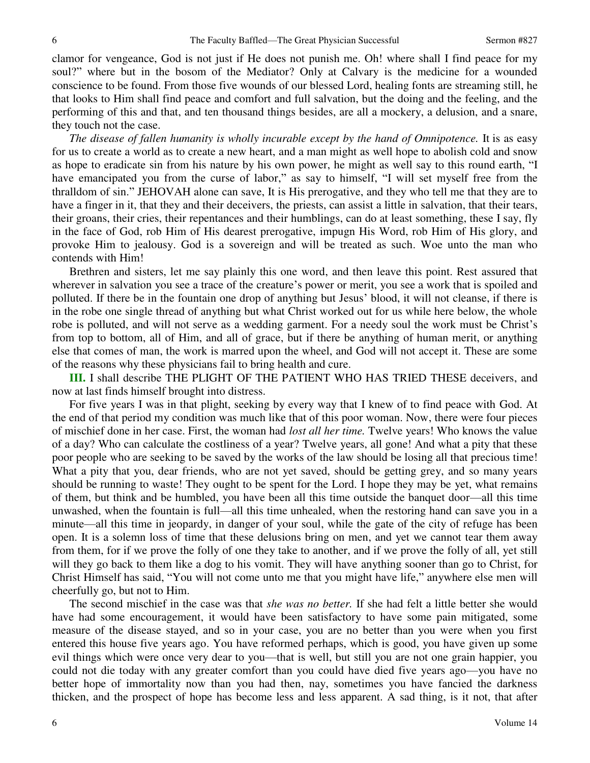clamor for vengeance, God is not just if He does not punish me. Oh! where shall I find peace for my soul?" where but in the bosom of the Mediator? Only at Calvary is the medicine for a wounded conscience to be found. From those five wounds of our blessed Lord, healing fonts are streaming still, he that looks to Him shall find peace and comfort and full salvation, but the doing and the feeling, and the performing of this and that, and ten thousand things besides, are all a mockery, a delusion, and a snare, they touch not the case.

*The disease of fallen humanity is wholly incurable except by the hand of Omnipotence.* It is as easy for us to create a world as to create a new heart, and a man might as well hope to abolish cold and snow as hope to eradicate sin from his nature by his own power, he might as well say to this round earth, "I have emancipated you from the curse of labor," as say to himself, "I will set myself free from the thralldom of sin." JEHOVAH alone can save, It is His prerogative, and they who tell me that they are to have a finger in it, that they and their deceivers, the priests, can assist a little in salvation, that their tears, their groans, their cries, their repentances and their humblings, can do at least something, these I say, fly in the face of God, rob Him of His dearest prerogative, impugn His Word, rob Him of His glory, and provoke Him to jealousy. God is a sovereign and will be treated as such. Woe unto the man who contends with Him!

 Brethren and sisters, let me say plainly this one word, and then leave this point. Rest assured that wherever in salvation you see a trace of the creature's power or merit, you see a work that is spoiled and polluted. If there be in the fountain one drop of anything but Jesus' blood, it will not cleanse, if there is in the robe one single thread of anything but what Christ worked out for us while here below, the whole robe is polluted, and will not serve as a wedding garment. For a needy soul the work must be Christ's from top to bottom, all of Him, and all of grace, but if there be anything of human merit, or anything else that comes of man, the work is marred upon the wheel, and God will not accept it. These are some of the reasons why these physicians fail to bring health and cure.

**III.** I shall describe THE PLIGHT OF THE PATIENT WHO HAS TRIED THESE deceivers, and now at last finds himself brought into distress.

 For five years I was in that plight, seeking by every way that I knew of to find peace with God. At the end of that period my condition was much like that of this poor woman. Now, there were four pieces of mischief done in her case. First, the woman had *lost all her time.* Twelve years! Who knows the value of a day? Who can calculate the costliness of a year? Twelve years, all gone! And what a pity that these poor people who are seeking to be saved by the works of the law should be losing all that precious time! What a pity that you, dear friends, who are not yet saved, should be getting grey, and so many years should be running to waste! They ought to be spent for the Lord. I hope they may be yet, what remains of them, but think and be humbled, you have been all this time outside the banquet door—all this time unwashed, when the fountain is full—all this time unhealed, when the restoring hand can save you in a minute—all this time in jeopardy, in danger of your soul, while the gate of the city of refuge has been open. It is a solemn loss of time that these delusions bring on men, and yet we cannot tear them away from them, for if we prove the folly of one they take to another, and if we prove the folly of all, yet still will they go back to them like a dog to his vomit. They will have anything sooner than go to Christ, for Christ Himself has said, "You will not come unto me that you might have life," anywhere else men will cheerfully go, but not to Him.

 The second mischief in the case was that *she was no better.* If she had felt a little better she would have had some encouragement, it would have been satisfactory to have some pain mitigated, some measure of the disease stayed, and so in your case, you are no better than you were when you first entered this house five years ago. You have reformed perhaps, which is good, you have given up some evil things which were once very dear to you—that is well, but still you are not one grain happier, you could not die today with any greater comfort than you could have died five years ago—you have no better hope of immortality now than you had then, nay, sometimes you have fancied the darkness thicken, and the prospect of hope has become less and less apparent. A sad thing, is it not, that after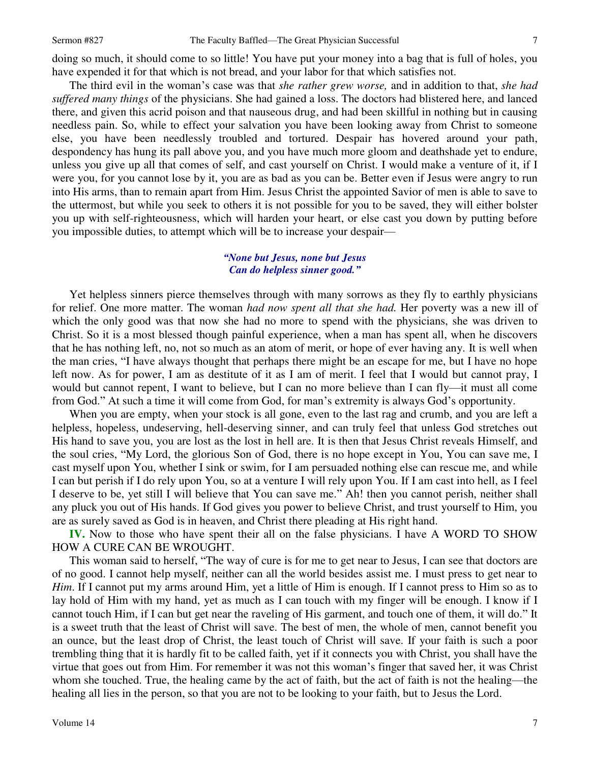doing so much, it should come to so little! You have put your money into a bag that is full of holes, you have expended it for that which is not bread, and your labor for that which satisfies not.

 The third evil in the woman's case was that *she rather grew worse,* and in addition to that, *she had suffered many things* of the physicians. She had gained a loss. The doctors had blistered here, and lanced there, and given this acrid poison and that nauseous drug, and had been skillful in nothing but in causing needless pain. So, while to effect your salvation you have been looking away from Christ to someone else, you have been needlessly troubled and tortured. Despair has hovered around your path, despondency has hung its pall above you, and you have much more gloom and deathshade yet to endure, unless you give up all that comes of self, and cast yourself on Christ. I would make a venture of it, if I were you, for you cannot lose by it, you are as bad as you can be. Better even if Jesus were angry to run into His arms, than to remain apart from Him. Jesus Christ the appointed Savior of men is able to save to the uttermost, but while you seek to others it is not possible for you to be saved, they will either bolster you up with self-righteousness, which will harden your heart, or else cast you down by putting before you impossible duties, to attempt which will be to increase your despair—

### *"None but Jesus, none but Jesus Can do helpless sinner good."*

 Yet helpless sinners pierce themselves through with many sorrows as they fly to earthly physicians for relief. One more matter. The woman *had now spent all that she had.* Her poverty was a new ill of which the only good was that now she had no more to spend with the physicians, she was driven to Christ. So it is a most blessed though painful experience, when a man has spent all, when he discovers that he has nothing left, no, not so much as an atom of merit, or hope of ever having any. It is well when the man cries, "I have always thought that perhaps there might be an escape for me, but I have no hope left now. As for power, I am as destitute of it as I am of merit. I feel that I would but cannot pray, I would but cannot repent, I want to believe, but I can no more believe than I can fly—it must all come from God." At such a time it will come from God, for man's extremity is always God's opportunity.

 When you are empty, when your stock is all gone, even to the last rag and crumb, and you are left a helpless, hopeless, undeserving, hell-deserving sinner, and can truly feel that unless God stretches out His hand to save you, you are lost as the lost in hell are. It is then that Jesus Christ reveals Himself, and the soul cries, "My Lord, the glorious Son of God, there is no hope except in You, You can save me, I cast myself upon You, whether I sink or swim, for I am persuaded nothing else can rescue me, and while I can but perish if I do rely upon You, so at a venture I will rely upon You. If I am cast into hell, as I feel I deserve to be, yet still I will believe that You can save me." Ah! then you cannot perish, neither shall any pluck you out of His hands. If God gives you power to believe Christ, and trust yourself to Him, you are as surely saved as God is in heaven, and Christ there pleading at His right hand.

**IV.** Now to those who have spent their all on the false physicians. I have A WORD TO SHOW HOW A CURE CAN BE WROUGHT.

 This woman said to herself, "The way of cure is for me to get near to Jesus, I can see that doctors are of no good. I cannot help myself, neither can all the world besides assist me. I must press to get near to *Him*. If I cannot put my arms around Him, yet a little of Him is enough. If I cannot press to Him so as to lay hold of Him with my hand, yet as much as I can touch with my finger will be enough. I know if I cannot touch Him, if I can but get near the raveling of His garment, and touch one of them, it will do." It is a sweet truth that the least of Christ will save. The best of men, the whole of men, cannot benefit you an ounce, but the least drop of Christ, the least touch of Christ will save. If your faith is such a poor trembling thing that it is hardly fit to be called faith, yet if it connects you with Christ, you shall have the virtue that goes out from Him. For remember it was not this woman's finger that saved her, it was Christ whom she touched. True, the healing came by the act of faith, but the act of faith is not the healing—the healing all lies in the person, so that you are not to be looking to your faith, but to Jesus the Lord.